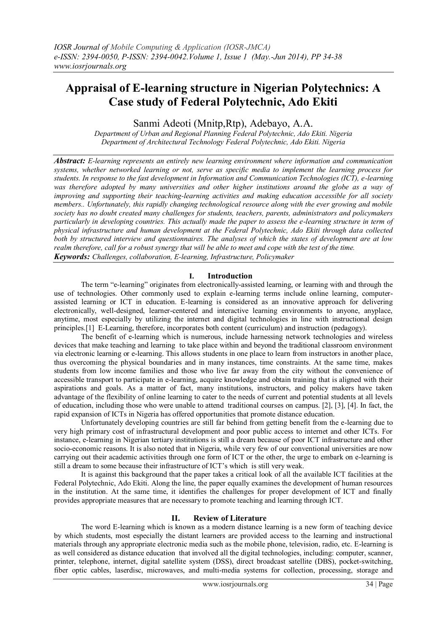# **Appraisal of E-learning structure in Nigerian Polytechnics: A Case study of Federal Polytechnic, Ado Ekiti**

Sanmi Adeoti (Mnitp,Rtp), Adebayo, A.A.

*Department of Urban and Regional Planning Federal Polytechnic, Ado Ekiti. Nigeria Department of Architectural Technology Federal Polytechnic, Ado Ekiti. Nigeria*

*Abstract: E-learning represents an entirely new learning environment where information and communication systems, whether networked learning or not, serve as specific media to implement the learning process for students. In response to the fast development in Information and Communication Technologies (ICT), e-learning was therefore adopted by many universities and other higher institutions around the globe as a way of improving and supporting their teaching-learning activities and making education accessible for all society members.. Unfortunately, this rapidly changing technological resource along with the ever growing and mobile society has no doubt created many challenges for students, teachers, parents, administrators and policymakers particularly in developing countries. This actually made the paper to assess the e-learning structure in term of physical infrastructure and human development at the Federal Polytechnic, Ado Ekiti through data collected both by structured interview and questionnaires. The analyses of which the states of development are at low realm therefore, call for a robust synergy that will be able to meet and cope with the test of the time. Keywords: Challenges, collaboration, E-learning, Infrastructure, Policymaker*

# **I. Introduction**

The term "e-learning" originates from electronically-assisted learning, or learning with and through the use of technologies. Other commonly used to explain e-learning terms include online learning, computerassisted learning or ICT in education. E-learning is considered as an innovative approach for delivering electronically, well-designed, learner-centered and interactive learning environments to anyone, anyplace, anytime, most especially by utilizing the internet and digital technologies in line with instructional design principles.[1] E-Learning, therefore, incorporates both content (curriculum) and instruction (pedagogy).

The benefit of e-learning which is numerous, include harnessing network technologies and wireless devices that make teaching and learning to take place within and beyond the traditional classroom environment via electronic learning or e-learning. This allows students in one place to learn from instructors in another place, thus overcoming the physical boundaries and in many instances, time constraints. At the same time, makes students from low income families and those who live far away from the city without the convenience of accessible transport to participate in e-learning, acquire knowledge and obtain training that is aligned with their aspirations and goals. As a matter of fact, many institutions, instructors, and policy makers have taken advantage of the flexibility of online learning to cater to the needs of current and potential students at all levels of education, including those who were unable to attend traditional courses on campus. [2], [3], [4]. In fact, the rapid expansion of ICTs in Nigeria has offered opportunities that promote distance education.

Unfortunately developing countries are still far behind from getting benefit from the e-learning due to very high primary cost of infrastructural development and poor public access to internet and other ICTs. For instance, e-learning in Nigerian tertiary institutions is still a dream because of poor ICT infrastructure and other socio-economic reasons. It is also noted that in Nigeria, while very few of our conventional universities are now carrying out their academic activities through one form of ICT or the other, the urge to embark on e-learning is still a dream to some because their infrastructure of ICT's which is still very weak.

It is against this background that the paper takes a critical look of all the available ICT facilities at the Federal Polytechnic, Ado Ekiti. Along the line, the paper equally examines the development of human resources in the institution. At the same time, it identifies the challenges for proper development of ICT and finally provides appropriate measures that are necessary to promote teaching and learning through ICT.

# **II. Review of Literature**

The word E-learning which is known as a modern distance learning is a new form of teaching device by which students, most especially the distant learners are provided access to the learning and instructional materials through any appropriate electronic media such as the mobile phone, television, radio, etc. E-learning is as well considered as distance education that involved all the digital technologies, including: computer, scanner, printer, telephone, internet, digital satellite system (DSS), direct broadcast satellite (DBS), pocket-switching, fiber optic cables, laserdisc, microwaves, and multi-media systems for collection, processing, storage and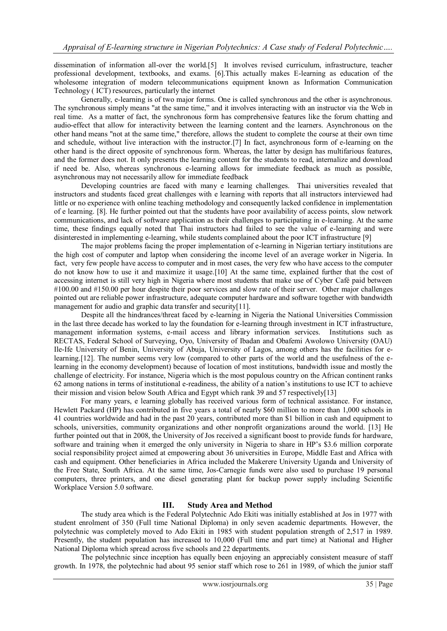dissemination of information all-over the world.[5] It involves revised curriculum, infrastructure, teacher professional development, textbooks, and exams. [6].This actually makes E-learning as education of the wholesome integration of modern telecommunications equipment known as Information Communication Technology ( ICT) resources, particularly the internet

Generally, e-learning is of two major forms. One is called synchronous and the other is asynchronous. The synchronous simply means "at the same time," and it involves interacting with an instructor via the Web in real time. As a matter of fact, the synchronous form has comprehensive features like the forum chatting and audio-effect that allow for interactivity between the learning content and the learners. Asynchronous on the other hand means "not at the same time," therefore, allows the student to complete the course at their own time and schedule, without live interaction with the instructor.[7] In fact, asynchronous form of e-learning on the other hand is the direct opposite of synchronous form. Whereas, the latter by design has multifarious features, and the former does not. It only presents the learning content for the students to read, internalize and download if need be. Also, whereas synchronous e-learning allows for immediate feedback as much as possible, asynchronous may not necessarily allow for immediate feedback

Developing countries are faced with many e learning challenges. Thai universities revealed that instructors and students faced great challenges with e learning with reports that all instructors interviewed had little or no experience with online teaching methodology and consequently lacked confidence in implementation of e learning. [8]. He further pointed out that the students have poor availability of access points, slow network communications, and lack of software application as their challenges to participating in e-learning. At the same time, these findings equally noted that Thai instructors had failed to see the value of e-learning and were disinterested in implementing e-learning, while students complained about the poor ICT infrastructure [9]

The major problems facing the proper implementation of e-learning in Nigerian tertiary institutions are the high cost of computer and laptop when considering the income level of an average worker in Nigeria. In fact, very few people have access to computer and in most cases, the very few who have access to the computer do not know how to use it and maximize it usage.[10] At the same time, explained further that the cost of accessing internet is still very high in Nigeria where most students that make use of Cyber Café paid between #100.00 and #150.00 per hour despite their poor services and slow rate of their server. Other major challenges pointed out are reliable power infrastructure, adequate computer hardware and software together with bandwidth management for audio and graphic data transfer and security[11].

Despite all the hindrances/threat faced by e-learning in Nigeria the National Universities Commission in the last three decade has worked to lay the foundation for e-learning through investment in ICT infrastructure, management information systems, e-mail access and library information services. Institutions such as RECTAS, Federal School of Surveying, Oyo, University of Ibadan and Obafemi Awolowo University (OAU) Ile-Ife University of Benin, University of Abuja, University of Lagos, among others has the facilities for elearning.[12]. The number seems very low (compared to other parts of the world and the usefulness of the elearning in the economy development) because of location of most institutions, bandwidth issue and mostly the challenge of electricity. For instance, Nigeria which is the most populous country on the African continent ranks 62 among nations in terms of institutional e-readiness, the ability of a nation's institutions to use ICT to achieve their mission and vision below South Africa and Egypt which rank 39 and 57 respectively[13]

For many years, e learning globally has received various form of technical assistance. For instance, Hewlett Packard (HP) has contributed in five years a total of nearly \$60 million to more than 1,000 schools in 41 countries worldwide and had in the past 20 years, contributed more than \$1 billion in cash and equipment to schools, universities, community organizations and other nonprofit organizations around the world. [13] He further pointed out that in 2008, the University of Jos received a significant boost to provide funds for hardware, software and training when it emerged the only university in Nigeria to share in HP's \$3.6 million corporate social responsibility project aimed at empowering about 36 universities in Europe, Middle East and Africa with cash and equipment. Other beneficiaries in Africa included the Makerere University Uganda and University of the Free State, South Africa. At the same time, Jos-Carnegie funds were also used to purchase 19 personal computers, three printers, and one diesel generating plant for backup power supply including Scientific Workplace Version 5.0 software.

# **III. Study Area and Method**

The study area which is the Federal Polytechnic Ado Ekiti was initially established at Jos in 1977 with student enrolment of 350 (Full time National Diploma) in only seven academic departments. However, the polytechnic was completely moved to Ado Ekiti in 1985 with student population strength of 2,517 in 1989. Presently, the student population has increased to 10,000 (Full time and part time) at National and Higher National Diploma which spread across five schools and 22 departments.

The polytechnic since inception has equally been enjoying an appreciably consistent measure of staff growth. In 1978, the polytechnic had about 95 senior staff which rose to 261 in 1989, of which the junior staff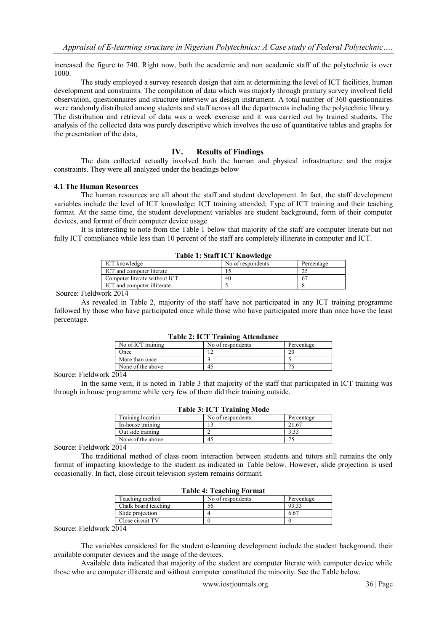increased the figure to 740. Right now, both the academic and non academic staff of the polytechnic is over 1000.

The study employed a survey research design that aim at determining the level of ICT facilities, human development and constraints. The compilation of data which was majorly through primary survey involved field observation, questionnaires and structure interview as design instrument. A total number of 360 questionnaires were randomly distributed among students and staff across all the departments including the polytechnic library. The distribution and retrieval of data was a week exercise and it was carried out by trained students. The analysis of the collected data was purely descriptive which involves the use of quantitative tables and graphs for the presentation of the data,

# **IV. Results of Findings**

The data collected actually involved both the human and physical infrastructure and the major constraints. They were all analyzed under the headings below

#### **4.1 The Human Resources**

The human resources are all about the staff and student development. In fact, the staff development variables include the level of ICT knowledge; ICT training attended; Type of ICT training and their teaching format. At the same time, the student development variables are student background, form of their computer devices, and format of their computer device usage

It is interesting to note from the Table 1 below that majority of the staff are computer literate but not fully ICT compliance while less than 10 percent of the staff are completely illiterate in computer and ICT.

**Table 1: Staff ICT Knowledge**

| Table 1: Staff ICT Knowledge  |                   |            |
|-------------------------------|-------------------|------------|
| ICT knowledge                 | No of respondents | Percentage |
| ICT and computer literate     |                   |            |
| Computer literate without ICT | 40                | 67         |
| ICT and computer illiterate   |                   |            |

Source: Fieldwork 2014

As revealed in Table 2, majority of the staff have not participated in any ICT training programme followed by those who have participated once while those who have participated more than once have the least percentage.

| $1$ able $2$ . IV I Training Attenuance |                   |            |
|-----------------------------------------|-------------------|------------|
| No of ICT training                      | No of respondents | Percentage |
| Once                                    |                   | 20         |
| More than once                          |                   |            |
| None of the above                       | 45                |            |
| _ _ _ _                                 |                   |            |

# **Table 2: ICT Training Attendance**

Source: Fieldwork 2014

In the same vein, it is noted in Table 3 that majority of the staff that participated in ICT training was through in house programme while very few of them did their training outside.

| <b>Table 3: ICT Training Mode</b> |            |  |
|-----------------------------------|------------|--|
| No of respondents                 | Percentage |  |
|                                   | 21.67      |  |
|                                   | 3.33       |  |
| 45                                |            |  |
|                                   |            |  |

**Table 3: ICT Training Mode**

Source: Fieldwork 2014

The traditional method of class room interaction between students and tutors still remains the only format of impacting knowledge to the student as indicated in Table below. However, slide projection is used occasionally. In fact, close circuit television system remains dormant.

| TADIC 4. TEACHING FULLMAL |                   |            |
|---------------------------|-------------------|------------|
| Teaching method           | No of respondents | Percentage |
| Chalk board teaching      | эt                | 93.33      |
| Slide projection          |                   | 6.67       |
| Close circuit TV          |                   |            |
| .                         |                   |            |

# **Table 4: Teaching Format**

Source: Fieldwork 2014

The variables considered for the student e-learning development include the student background, their available computer devices and the usage of the devices.

Available data indicated that majority of the student are computer literate with computer device while those who are computer illiterate and without computer constituted the minority. See the Table below.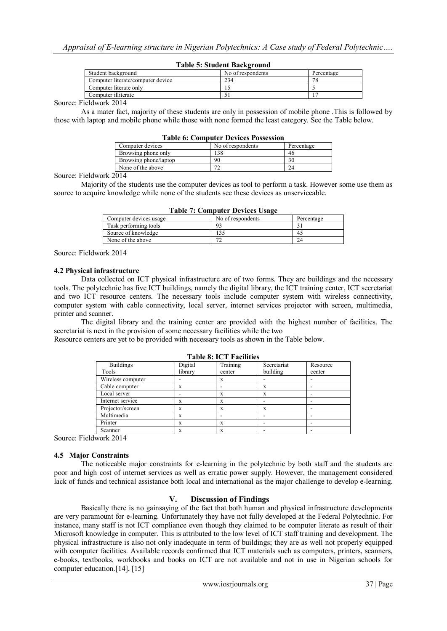#### **Table 5: Student Background**

| Student background                | No of respondents | Percentage |
|-----------------------------------|-------------------|------------|
| Computer literate/computer device | 234               | 7C         |
| Computer literate only            |                   |            |
| Computer illiterate               |                   |            |

Source: Fieldwork 2014

As a mater fact, majority of these students are only in possession of mobile phone .This is followed by those with laptop and mobile phone while those with none formed the least category. See the Table below.

#### **Table 6: Computer Devices Possession**

| Computer devices      | No of respondents | Percentage |
|-----------------------|-------------------|------------|
| Browsing phone only   | 138               | 46         |
| Browsing phone/laptop | 90                | 30         |
| None of the above     |                   |            |

Source: Fieldwork 2014

Majority of the students use the computer devices as tool to perform a task. However some use them as source to acquire knowledge while none of the students see these devices as unserviceable.

| Table 7: Computer Devices Usage |                   |            |
|---------------------------------|-------------------|------------|
| Computer devices usage          | No of respondents | Percentage |
| Task performing tools           | 93                |            |
| Source of knowledge             | 135               | 45         |
| None of the above               | 72                | 24         |

**Table 7: Computer Devices Usage**

Source: Fieldwork 2014

#### **4.2 Physical infrastructure**

Data collected on ICT physical infrastructure are of two forms. They are buildings and the necessary tools. The polytechnic has five ICT buildings, namely the digital library, the ICT training center, ICT secretariat and two ICT resource centers. The necessary tools include computer system with wireless connectivity, computer system with cable connectivity, local server, internet services projector with screen, multimedia, printer and scanner.

The digital library and the training center are provided with the highest number of facilities. The secretariat is next in the provision of some necessary facilities while the two

Resource centers are yet to be provided with necessary tools as shown in the Table below.

#### Buildings Tools Digital library Training center Secretariat building Resource center Wireless computer | - | x | -Cable computer  $\begin{vmatrix} x & 1 \\ x & x \end{vmatrix}$  -  $\begin{vmatrix} x \\ x \end{vmatrix}$  -Local server  $\vert$  -  $\vert$  x  $\vert$  x  $\vert$  -Internet service x x x Projector/screen x x x x Multimedia x x Printer  $x \times x$  |  $x \times x$  |  $-$ Scanner  $x \times x$  x  $-x \times x$  -

**Table 8: ICT Facilities**

Source: Fieldwork 2014

### **4.5 Major Constraints**

The noticeable major constraints for e-learning in the polytechnic by both staff and the students are poor and high cost of internet services as well as erratic power supply. However, the management considered lack of funds and technical assistance both local and international as the major challenge to develop e-learning.

### **V. Discussion of Findings**

Basically there is no gainsaying of the fact that both human and physical infrastructure developments are very paramount for e-learning. Unfortunately they have not fully developed at the Federal Polytechnic. For instance, many staff is not ICT compliance even though they claimed to be computer literate as result of their Microsoft knowledge in computer. This is attributed to the low level of ICT staff training and development. The physical infrastructure is also not only inadequate in term of buildings; they are as well not properly equipped with computer facilities. Available records confirmed that ICT materials such as computers, printers, scanners, e-books, textbooks, workbooks and books on ICT are not available and not in use in Nigerian schools for computer education.[14], [15]